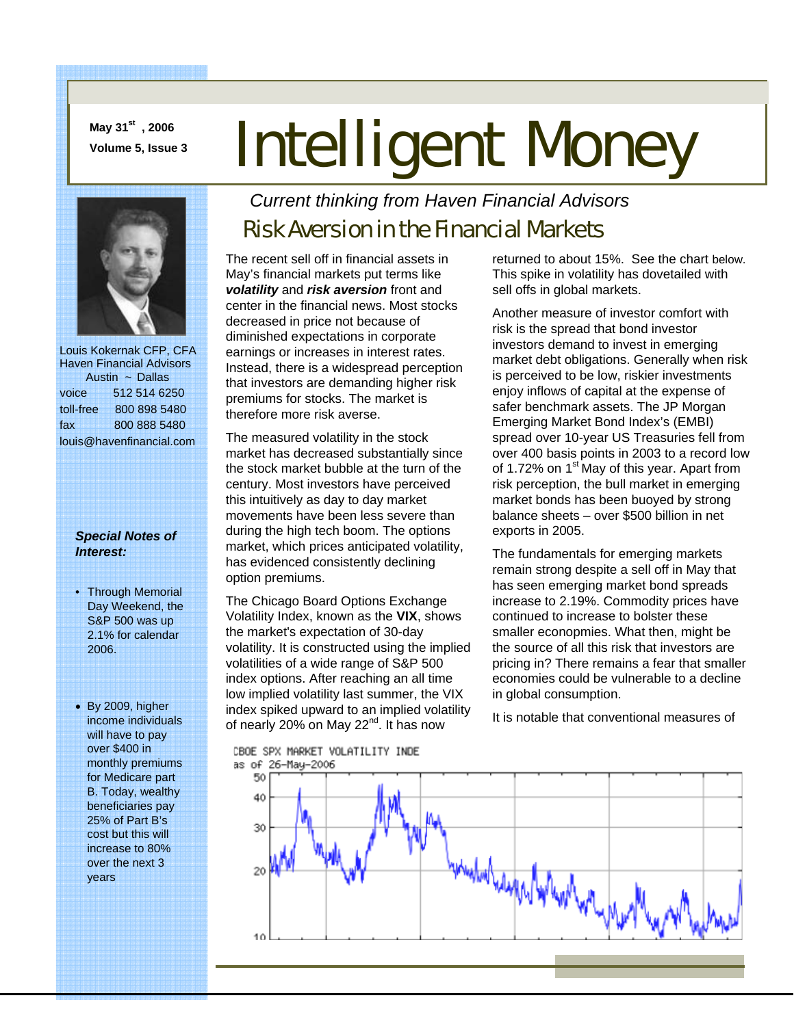**May 31st , 2006** 

# **May 31<sup>st</sup>, 2006**<br>Volume 5, Issue 3 **Intelligent Money**



 Louis Kokernak CFP, CFA Haven Financial Advisors Austin ~ Dallas voice 512 514 6250 toll-free 800 898 5480 fax 800 888 5480 louis@havenfinancial.com

#### *Special Notes of Interest:*

- Through Memorial Day Weekend, the S&P 500 was up 2.1% for calendar 2006.
- By 2009, higher income individuals will have to pay over \$400 in monthly premiums for Medicare part B. Today, wealthy beneficiaries pay 25% of Part B's cost but this will increase to 80% over the next 3 years

### *Current thinking from Haven Financial Advisors*

## Risk Aversion in the Financial Markets

The recent sell off in financial assets in May's financial markets put terms like *volatility* and *risk aversion* front and center in the financial news. Most stocks decreased in price not because of diminished expectations in corporate earnings or increases in interest rates. Instead, there is a widespread perception that investors are demanding higher risk premiums for stocks. The market is therefore more risk averse.

The measured volatility in the stock market has decreased substantially since the stock market bubble at the turn of the century. Most investors have perceived this intuitively as day to day market movements have been less severe than during the high tech boom. The options market, which prices anticipated volatility, has evidenced consistently declining option premiums.

The Chicago Board Options Exchange Volatility Index, known as the **VIX**, shows the market's expectation of 30-day volatility. It is constructed using the implied volatilities of a wide range of S&P 500 index options. After reaching an all time low implied volatility last summer, the VIX index spiked upward to an implied volatility of nearly 20% on May 22<sup>nd</sup>. It has now

CBOE SPX MARKET VOLATILITY INDE as of 26-May-2006

returned to about 15%. See the chart below. This spike in volatility has dovetailed with sell offs in global markets.

Another measure of investor comfort with risk is the spread that bond investor investors demand to invest in emerging market debt obligations. Generally when risk is perceived to be low, riskier investments enjoy inflows of capital at the expense of safer benchmark assets. The JP Morgan Emerging Market Bond Index's (EMBI) spread over 10-year US Treasuries fell from over 400 basis points in 2003 to a record low of 1.72% on  $1<sup>st</sup>$  May of this year. Apart from risk perception, the bull market in emerging market bonds has been buoyed by strong balance sheets – over \$500 billion in net exports in 2005.

The fundamentals for emerging markets remain strong despite a sell off in May that has seen emerging market bond spreads increase to 2.19%. Commodity prices have continued to increase to bolster these smaller econopmies. What then, might be the source of all this risk that investors are pricing in? There remains a fear that smaller economies could be vulnerable to a decline in global consumption.

It is notable that conventional measures of